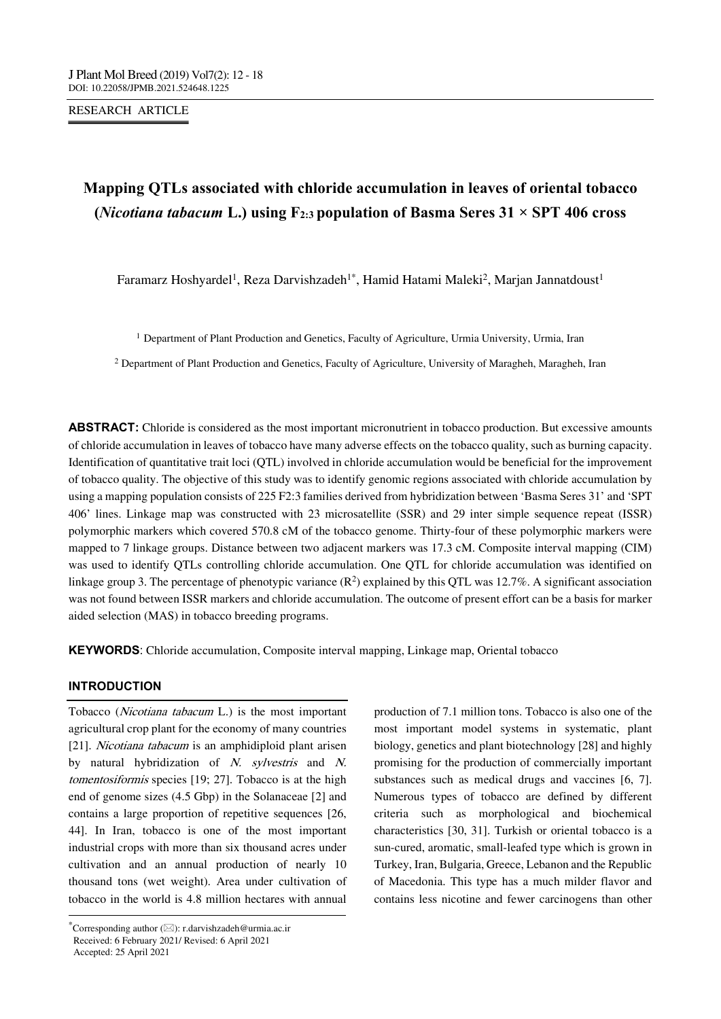RESEARCH ARTICLE

## **Mapping QTLs associated with chloride accumulation in leaves of oriental tobacco**  (*Nicotiana tabacum* L.) using  $F_{2:3}$  population of Basma Seres 31  $\times$  SPT 406 cross

Faramarz Hoshyardel<sup>1</sup>, Reza Darvishzadeh<sup>1\*</sup>, Hamid Hatami Maleki<sup>2</sup>, Marjan Jannatdoust<sup>1</sup>

<sup>1</sup> Department of Plant Production and Genetics, Faculty of Agriculture, Urmia University, Urmia, Iran

<sup>2</sup> Department of Plant Production and Genetics, Faculty of Agriculture, University of Maragheh, Maragheh, Iran

**ABSTRACT:** Chloride is considered as the most important micronutrient in tobacco production. But excessive amounts of chloride accumulation in leaves of tobacco have many adverse effects on the tobacco quality, such as burning capacity. Identification of quantitative trait loci (QTL) involved in chloride accumulation would be beneficial for the improvement of tobacco quality. The objective of this study was to identify genomic regions associated with chloride accumulation by using a mapping population consists of 225 F2:3 families derived from hybridization between 'Basma Seres 31' and 'SPT 406' lines. Linkage map was constructed with 23 microsatellite (SSR) and 29 inter simple sequence repeat (ISSR) polymorphic markers which covered 570.8 cM of the tobacco genome. Thirty-four of these polymorphic markers were mapped to 7 linkage groups. Distance between two adjacent markers was 17.3 cM. Composite interval mapping (CIM) was used to identify QTLs controlling chloride accumulation. One QTL for chloride accumulation was identified on linkage group 3. The percentage of phenotypic variance  $(R^2)$  explained by this QTL was 12.7%. A significant association was not found between ISSR markers and chloride accumulation. The outcome of present effort can be a basis for marker aided selection (MAS) in tobacco breeding programs.

**KEYWORDS**: Chloride accumulation, Composite interval mapping, Linkage map, Oriental tobacco

#### **INTRODUCTION**

--------------------------------------------------------------------------------- Tobacco (Nicotiana tabacum L.) is the most important agricultural crop plant for the economy of many countries [21]. Nicotiana tabacum is an amphidiploid plant arisen by natural hybridization of N. sylvestris and N. tomentosiformis species [19; 27]. Tobacco is at the high end of genome sizes (4.5 Gbp) in the Solanaceae [2] and contains a large proportion of repetitive sequences [26, 44]. In Iran, tobacco is one of the most important industrial crops with more than six thousand acres under cultivation and an annual production of nearly 10 thousand tons (wet weight). Area under cultivation of tobacco in the world is 4.8 million hectares with annual

production of 7.1 million tons. Tobacco is also one of the most important model systems in systematic, plant biology, genetics and plant biotechnology [28] and highly promising for the production of commercially important substances such as medical drugs and vaccines [6, 7]. Numerous types of tobacco are defined by different criteria such as morphological and biochemical characteristics [30, 31]. Turkish or oriental tobacco is a sun-cured, aromatic, small-leafed type which is grown in Turkey, Iran, Bulgaria, Greece, Lebanon and the Republic of Macedonia. This type has a much milder flavor and contains less nicotine and fewer carcinogens than other

 $^*$ Corresponding author ( $\boxtimes$ ): r.darvishzadeh@urmia.ac.ir Received: 6 February 2021/ Revised: 6 April 2021 Accepted: 25 April 2021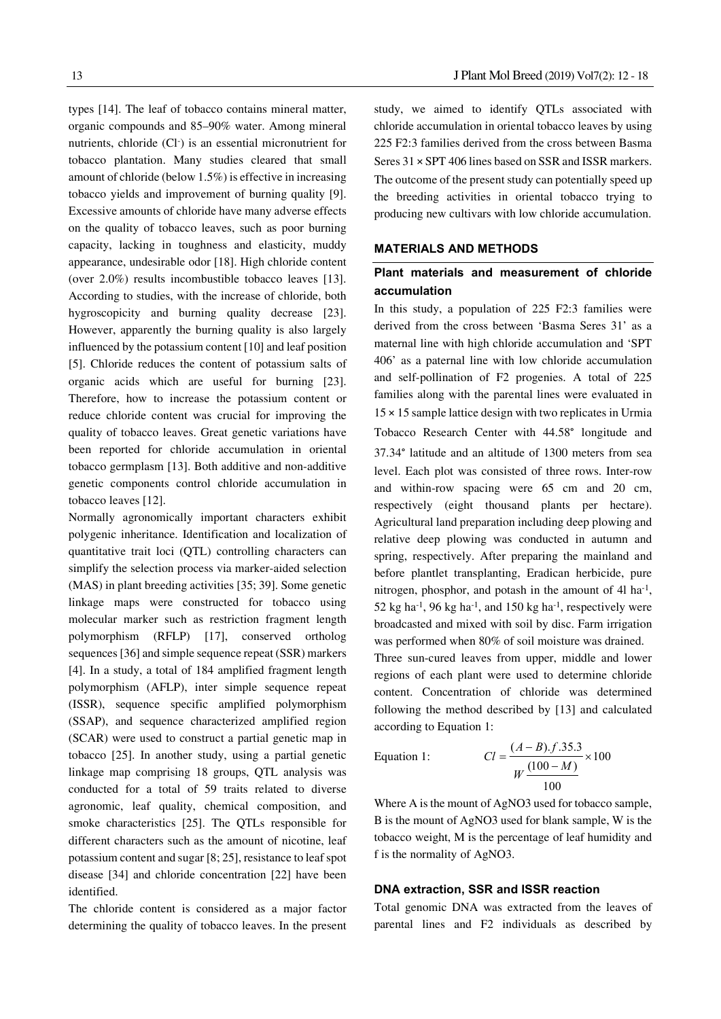types [14]. The leaf of tobacco contains mineral matter, organic compounds and 85–90% water. Among mineral nutrients, chloride (Cl<sup>-</sup>) is an essential micronutrient for tobacco plantation. Many studies cleared that small amount of chloride (below 1.5%) is effective in increasing tobacco yields and improvement of burning quality [9]. Excessive amounts of chloride have many adverse effects on the quality of tobacco leaves, such as poor burning capacity, lacking in toughness and elasticity, muddy appearance, undesirable odor [18]. High chloride content (over 2.0%) results incombustible tobacco leaves [13]. According to studies, with the increase of chloride, both hygroscopicity and burning quality decrease [23]. However, apparently the burning quality is also largely influenced by the potassium content [10] and leaf position [5]. Chloride reduces the content of potassium salts of organic acids which are useful for burning [23]. Therefore, how to increase the potassium content or reduce chloride content was crucial for improving the quality of tobacco leaves. Great genetic variations have been reported for chloride accumulation in oriental tobacco germplasm [13]. Both additive and non-additive genetic components control chloride accumulation in tobacco leaves [12].

Normally agronomically important characters exhibit polygenic inheritance. Identification and localization of quantitative trait loci (QTL) controlling characters can simplify the selection process via marker-aided selection (MAS) in plant breeding activities [35; 39]. Some genetic linkage maps were constructed for tobacco using molecular marker such as restriction fragment length polymorphism (RFLP) [17], conserved ortholog sequences [36] and simple sequence repeat (SSR) markers [4]. In a study, a total of 184 amplified fragment length polymorphism (AFLP), inter simple sequence repeat (ISSR), sequence specific amplified polymorphism (SSAP), and sequence characterized amplified region (SCAR) were used to construct a partial genetic map in tobacco [25]. In another study, using a partial genetic linkage map comprising 18 groups, QTL analysis was conducted for a total of 59 traits related to diverse agronomic, leaf quality, chemical composition, and smoke characteristics [25]. The QTLs responsible for different characters such as the amount of nicotine, leaf potassium content and sugar [8; 25], resistance to leaf spot disease [34] and chloride concentration [22] have been identified.

The chloride content is considered as a major factor determining the quality of tobacco leaves. In the present study, we aimed to identify QTLs associated with chloride accumulation in oriental tobacco leaves by using 225 F2:3 families derived from the cross between Basma Seres 31 × SPT 406 lines based on SSR and ISSR markers. The outcome of the present study can potentially speed up the breeding activities in oriental tobacco trying to producing new cultivars with low chloride accumulation.

#### **MATERIALS AND METHODS**

### **Plant materials and measurement of chloride accumulation**

In this study, a population of 225 F2:3 families were derived from the cross between 'Basma Seres 31' as a maternal line with high chloride accumulation and 'SPT 406' as a paternal line with low chloride accumulation and self-pollination of F2 progenies. A total of 225 families along with the parental lines were evaluated in 15 × 15 sample lattice design with two replicates in Urmia Tobacco Research Center with 44.58° longitude and 37.34° latitude and an altitude of 1300 meters from sea level. Each plot was consisted of three rows. Inter-row and within-row spacing were 65 cm and 20 cm, respectively (eight thousand plants per hectare). Agricultural land preparation including deep plowing and relative deep plowing was conducted in autumn and spring, respectively. After preparing the mainland and before plantlet transplanting, Eradican herbicide, pure nitrogen, phosphor, and potash in the amount of 4l ha<sup>-1</sup>, 52 kg ha<sup>-1</sup>, 96 kg ha<sup>-1</sup>, and 150 kg ha<sup>-1</sup>, respectively were broadcasted and mixed with soil by disc. Farm irrigation was performed when 80% of soil moisture was drained. Three sun-cured leaves from upper, middle and lower regions of each plant were used to determine chloride content. Concentration of chloride was determined following the method described by [13] and calculated according to Equation 1:

Equation 1:  $\qquad \qquad$  (

$$
Cl = \frac{(A-B).f.35.3}{W \frac{(100-M)}{100}} \times 100
$$

Where A is the mount of AgNO3 used for tobacco sample, B is the mount of AgNO3 used for blank sample, W is the tobacco weight, M is the percentage of leaf humidity and f is the normality of AgNO3.

#### **DNA extraction, SSR and ISSR reaction**

Total genomic DNA was extracted from the leaves of parental lines and F2 individuals as described by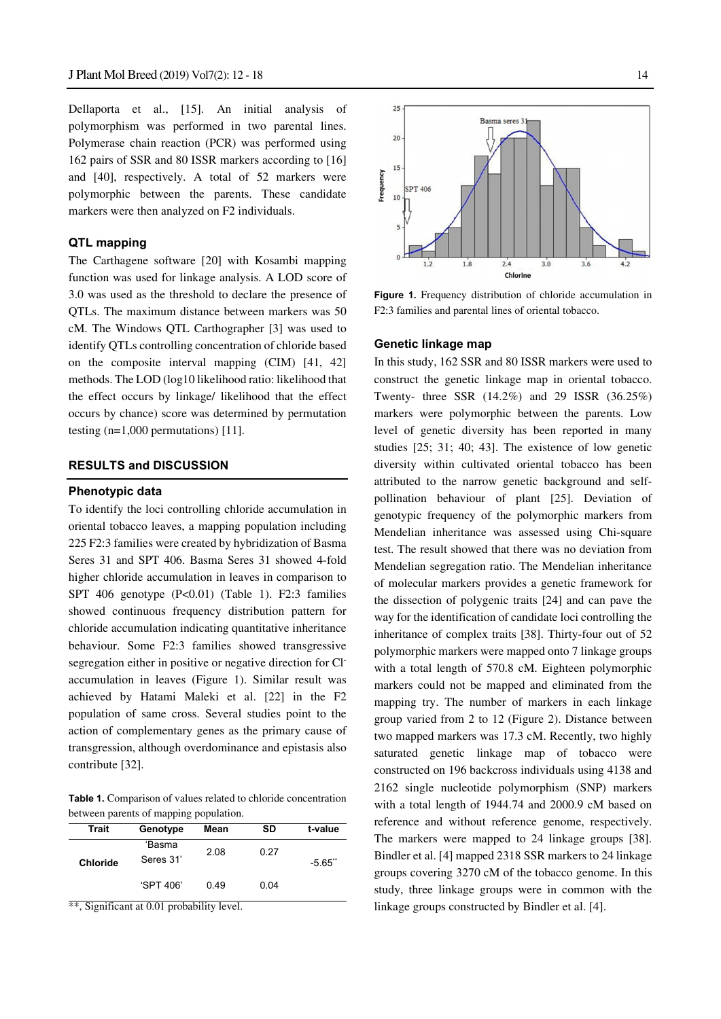Dellaporta et al., [15]. An initial analysis of polymorphism was performed in two parental lines. Polymerase chain reaction (PCR) was performed using 162 pairs of SSR and 80 ISSR markers according to [16] and [40], respectively. A total of 52 markers were polymorphic between the parents. These candidate markers were then analyzed on F2 individuals.

#### **QTL mapping**

The Carthagene software [20] with Kosambi mapping function was used for linkage analysis. A LOD score of 3.0 was used as the threshold to declare the presence of QTLs. The maximum distance between markers was 50 cM. The Windows QTL Carthographer [3] was used to identify QTLs controlling concentration of chloride based on the composite interval mapping (CIM) [41, 42] methods. The LOD (log10 likelihood ratio: likelihood that the effect occurs by linkage/ likelihood that the effect occurs by chance) score was determined by permutation testing  $(n=1,000$  permutations) [11].

#### **RESULTS and DISCUSSION**

#### **Phenotypic data**

To identify the loci controlling chloride accumulation in oriental tobacco leaves, a mapping population including 225 F2:3 families were created by hybridization of Basma Seres 31 and SPT 406. Basma Seres 31 showed 4-fold higher chloride accumulation in leaves in comparison to SPT 406 genotype (P<0.01) (Table 1). F2:3 families showed continuous frequency distribution pattern for chloride accumulation indicating quantitative inheritance behaviour. Some F2:3 families showed transgressive segregation either in positive or negative direction for Claccumulation in leaves (Figure 1). Similar result was achieved by Hatami Maleki et al. [22] in the F2 population of same cross. Several studies point to the action of complementary genes as the primary cause of transgression, although overdominance and epistasis also contribute [32].

**Table 1.** Comparison of values related to chloride concentration between parents of mapping population.

|                 | .                   |      |      |         |
|-----------------|---------------------|------|------|---------|
| <b>Trait</b>    | Genotype            | Mean | SD   | t-value |
| <b>Chloride</b> | 'Basma<br>Seres 31' | 2.08 | 0.27 | $-5.65$ |
|                 | 'SPT 406'           | 0.49 | 0.04 |         |

\*\*, Significant at 0.01 probability level.



**Figure 1.** Frequency distribution of chloride accumulation in F2:3 families and parental lines of oriental tobacco.

#### **Genetic linkage map**

In this study, 162 SSR and 80 ISSR markers were used to construct the genetic linkage map in oriental tobacco. Twenty- three SSR (14.2%) and 29 ISSR (36.25%) markers were polymorphic between the parents. Low level of genetic diversity has been reported in many studies [25; 31; 40; 43]. The existence of low genetic diversity within cultivated oriental tobacco has been attributed to the narrow genetic background and selfpollination behaviour of plant [25]. Deviation of genotypic frequency of the polymorphic markers from Mendelian inheritance was assessed using Chi-square test. The result showed that there was no deviation from Mendelian segregation ratio. The Mendelian inheritance of molecular markers provides a genetic framework for the dissection of polygenic traits [24] and can pave the way for the identification of candidate loci controlling the inheritance of complex traits [38]. Thirty-four out of 52 polymorphic markers were mapped onto 7 linkage groups with a total length of 570.8 cM. Eighteen polymorphic markers could not be mapped and eliminated from the mapping try. The number of markers in each linkage group varied from 2 to 12 (Figure 2). Distance between two mapped markers was 17.3 cM. Recently, two highly saturated genetic linkage map of tobacco were constructed on 196 backcross individuals using 4138 and 2162 single nucleotide polymorphism (SNP) markers with a total length of 1944.74 and 2000.9 cM based on reference and without reference genome, respectively. The markers were mapped to 24 linkage groups [38]. Bindler et al. [4] mapped 2318 SSR markers to 24 linkage groups covering 3270 cM of the tobacco genome. In this study, three linkage groups were in common with the linkage groups constructed by Bindler et al. [4].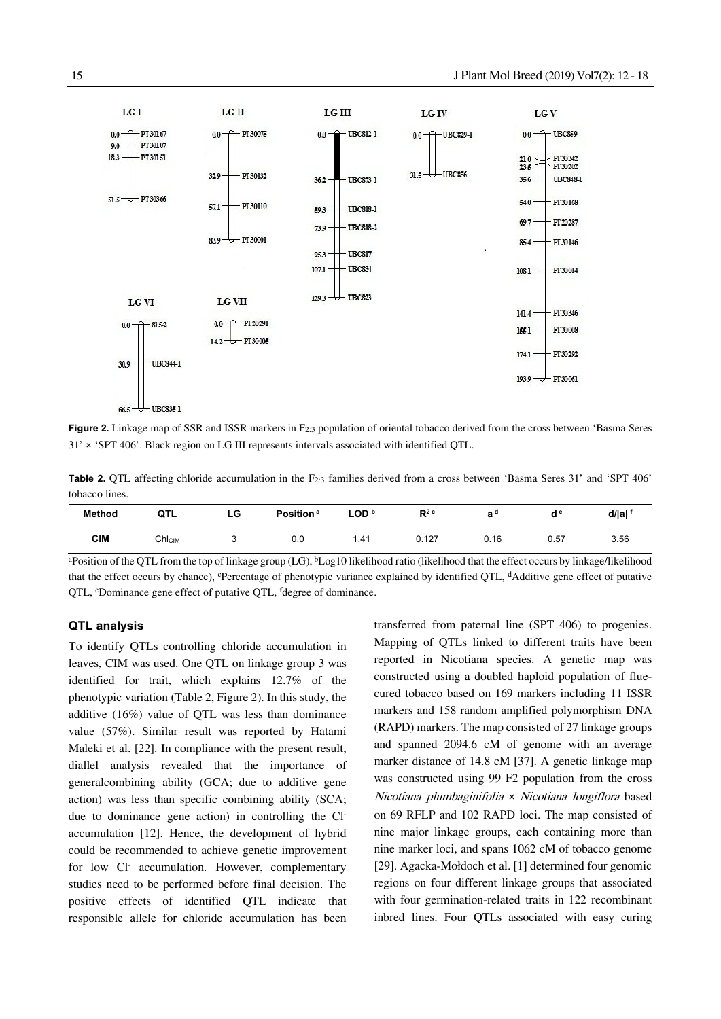

**Figure 2.** Linkage map of SSR and ISSR markers in F2:3 population of oriental tobacco derived from the cross between 'Basma Seres 31' × 'SPT 406'. Black region on LG III represents intervals associated with identified QTL.

**Table 2.** QTL affecting chloride accumulation in the F<sub>2:3</sub> families derived from a cross between 'Basma Seres 31' and 'SPT 406' tobacco lines.

| <b>Method</b> | QTL                | LG | Position <sup>a</sup> | LOD b | $R^2$ <sup>c</sup> | a"   | $\mathsf{d}^{\,\mathrm{e}}$ | d/ a |
|---------------|--------------------|----|-----------------------|-------|--------------------|------|-----------------------------|------|
| <b>CIM</b>    | Chl <sub>CIM</sub> |    | 0.0                   | 1.41  | 0.127              | 0.16 | 0.57                        | 3.56 |

aPosition of the QTL from the top of linkage group (LG), bLog10 likelihood ratio (likelihood that the effect occurs by linkage/likelihood that the effect occurs by chance), cPercentage of phenotypic variance explained by identified QTL, dAdditive gene effect of putative QTL, <sup>e</sup>Dominance gene effect of putative QTL, <sup>f</sup>degree of dominance.

#### **QTL analysis**

To identify QTLs controlling chloride accumulation in leaves, CIM was used. One QTL on linkage group 3 was identified for trait, which explains 12.7% of the phenotypic variation (Table 2, Figure 2). In this study, the additive (16%) value of QTL was less than dominance value (57%). Similar result was reported by Hatami Maleki et al. [22]. In compliance with the present result, diallel analysis revealed that the importance of generalcombining ability (GCA; due to additive gene action) was less than specific combining ability (SCA; due to dominance gene action) in controlling the Claccumulation [12]. Hence, the development of hybrid could be recommended to achieve genetic improvement for low Cl<sup>-</sup> accumulation. However, complementary studies need to be performed before final decision. The positive effects of identified QTL indicate that responsible allele for chloride accumulation has been

transferred from paternal line (SPT 406) to progenies. Mapping of QTLs linked to different traits have been reported in Nicotiana species. A genetic map was constructed using a doubled haploid population of fluecured tobacco based on 169 markers including 11 ISSR markers and 158 random amplified polymorphism DNA (RAPD) markers. The map consisted of 27 linkage groups and spanned 2094.6 cM of genome with an average marker distance of 14.8 cM [37]. A genetic linkage map was constructed using 99 F2 population from the cross Nicotiana plumbaginifolia × Nicotiana longiflora based on 69 RFLP and 102 RAPD loci. The map consisted of nine major linkage groups, each containing more than nine marker loci, and spans 1062 cM of tobacco genome [29]. Agacka-Mołdoch et al. [1] determined four genomic regions on four different linkage groups that associated with four germination-related traits in 122 recombinant inbred lines. Four QTLs associated with easy curing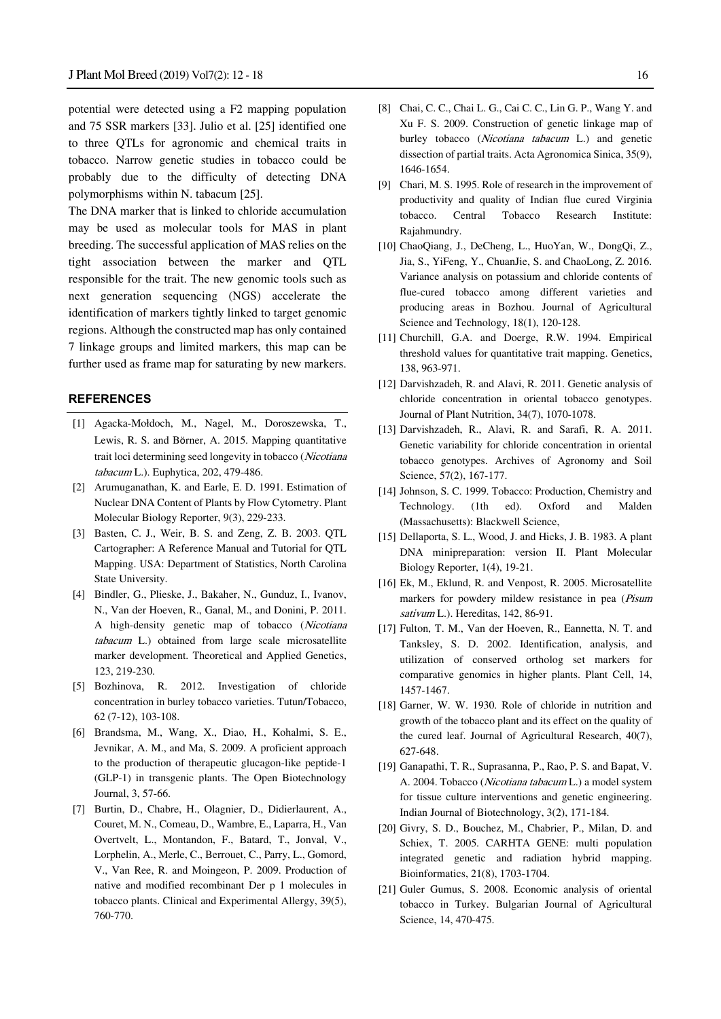potential were detected using a F2 mapping population and 75 SSR markers [33]. Julio et al. [25] identified one to three QTLs for agronomic and chemical traits in tobacco. Narrow genetic studies in tobacco could be probably due to the difficulty of detecting DNA polymorphisms within N. tabacum [25].

The DNA marker that is linked to chloride accumulation may be used as molecular tools for MAS in plant breeding. The successful application of MAS relies on the tight association between the marker and QTL responsible for the trait. The new genomic tools such as next generation sequencing (NGS) accelerate the identification of markers tightly linked to target genomic regions. Although the constructed map has only contained 7 linkage groups and limited markers, this map can be further used as frame map for saturating by new markers.

#### **REFERENCES**

- [1] Agacka-Mołdoch, M., Nagel, M., Doroszewska, T., Lewis, R. S. and Börner, A. 2015. Mapping quantitative trait loci determining seed longevity in tobacco (Nicotiana tabacum L.). Euphytica, 202, 479-486.
- [2] Arumuganathan, K. and Earle, E. D. 1991. Estimation of Nuclear DNA Content of Plants by Flow Cytometry. Plant Molecular Biology Reporter, 9(3), 229-233.
- [3] Basten, C. J., Weir, B. S. and Zeng, Z. B. 2003. QTL Cartographer: A Reference Manual and Tutorial for QTL Mapping. USA: Department of Statistics, North Carolina State University.
- [4] Bindler, G., Plieske, J., Bakaher, N., Gunduz, I., Ivanov, N., Van der Hoeven, R., Ganal, M., and Donini, P. 2011. A high-density genetic map of tobacco (Nicotiana tabacum L.) obtained from large scale microsatellite marker development. Theoretical and Applied Genetics, 123, 219-230.
- [5] Bozhinova, R. 2012. Investigation of chloride concentration in burley tobacco varieties. Tutun/Tobacco, 62 (7-12), 103-108.
- [6] Brandsma, M., Wang, X., Diao, H., Kohalmi, S. E., Jevnikar, A. M., and Ma, S. 2009. A proficient approach to the production of therapeutic glucagon-like peptide-1 (GLP-1) in transgenic plants. The Open Biotechnology Journal, 3, 57-66.
- [7] Burtin, D., Chabre, H., Olagnier, D., Didierlaurent, A., Couret, M. N., Comeau, D., Wambre, E., Laparra, H., Van Overtvelt, L., Montandon, F., Batard, T., Jonval, V., Lorphelin, A., Merle, C., Berrouet, C., Parry, L., Gomord, V., Van Ree, R. and Moingeon, P. 2009. Production of native and modified recombinant Der p 1 molecules in tobacco plants. Clinical and Experimental Allergy, 39(5), 760-770.
- [8] Chai, C. C., Chai L. G., Cai C. C., Lin G. P., Wang Y. and Xu F. S. 2009. Construction of genetic linkage map of burley tobacco (Nicotiana tabacum L.) and genetic dissection of partial traits. Acta Agronomica Sinica, 35(9), 1646-1654.
- [9] Chari, M. S. 1995. Role of research in the improvement of productivity and quality of Indian flue cured Virginia tobacco. Central Tobacco Research Institute: Rajahmundry.
- [10] ChaoQiang, J., DeCheng, L., HuoYan, W., DongQi, Z., Jia, S., YiFeng, Y., ChuanJie, S. and ChaoLong, Z. 2016. Variance analysis on potassium and chloride contents of flue-cured tobacco among different varieties and producing areas in Bozhou. Journal of Agricultural Science and Technology, 18(1), 120-128.
- [11] Churchill, G.A. and Doerge, R.W. 1994. Empirical threshold values for quantitative trait mapping. Genetics, 138, 963-971.
- [12] Darvishzadeh, R. and Alavi, R. 2011. Genetic analysis of chloride concentration in oriental tobacco genotypes. Journal of Plant Nutrition, 34(7), 1070-1078.
- [13] Darvishzadeh, R., Alavi, R. and Sarafi, R. A. 2011. Genetic variability for chloride concentration in oriental tobacco genotypes. Archives of Agronomy and Soil Science, 57(2), 167-177.
- [14] Johnson, S. C. 1999. Tobacco: Production, Chemistry and Technology. (1th ed). Oxford and Malden (Massachusetts): Blackwell Science,
- [15] Dellaporta, S. L., Wood, J. and Hicks, J. B. 1983. A plant DNA minipreparation: version II. Plant Molecular Biology Reporter, 1(4), 19-21.
- [16] Ek, M., Eklund, R. and Venpost, R. 2005. Microsatellite markers for powdery mildew resistance in pea (*Pisum*) sativum L.). Hereditas, 142, 86-91.
- [17] Fulton, T. M., Van der Hoeven, R., Eannetta, N. T. and Tanksley, S. D. 2002. Identification, analysis, and utilization of conserved ortholog set markers for comparative genomics in higher plants. Plant Cell, 14, 1457-1467.
- [18] Garner, W. W. 1930. Role of chloride in nutrition and growth of the tobacco plant and its effect on the quality of the cured leaf. Journal of Agricultural Research, 40(7), 627-648.
- [19] Ganapathi, T. R., Suprasanna, P., Rao, P. S. and Bapat, V. A. 2004. Tobacco (Nicotiana tabacum L.) a model system for tissue culture interventions and genetic engineering. Indian Journal of Biotechnology, 3(2), 171-184.
- [20] Givry, S. D., Bouchez, M., Chabrier, P., Milan, D. and Schiex, T. 2005. CARHTA GENE: multi population integrated genetic and radiation hybrid mapping. Bioinformatics, 21(8), 1703-1704.
- [21] Guler Gumus, S. 2008. Economic analysis of oriental tobacco in Turkey. Bulgarian Journal of Agricultural Science, 14, 470-475.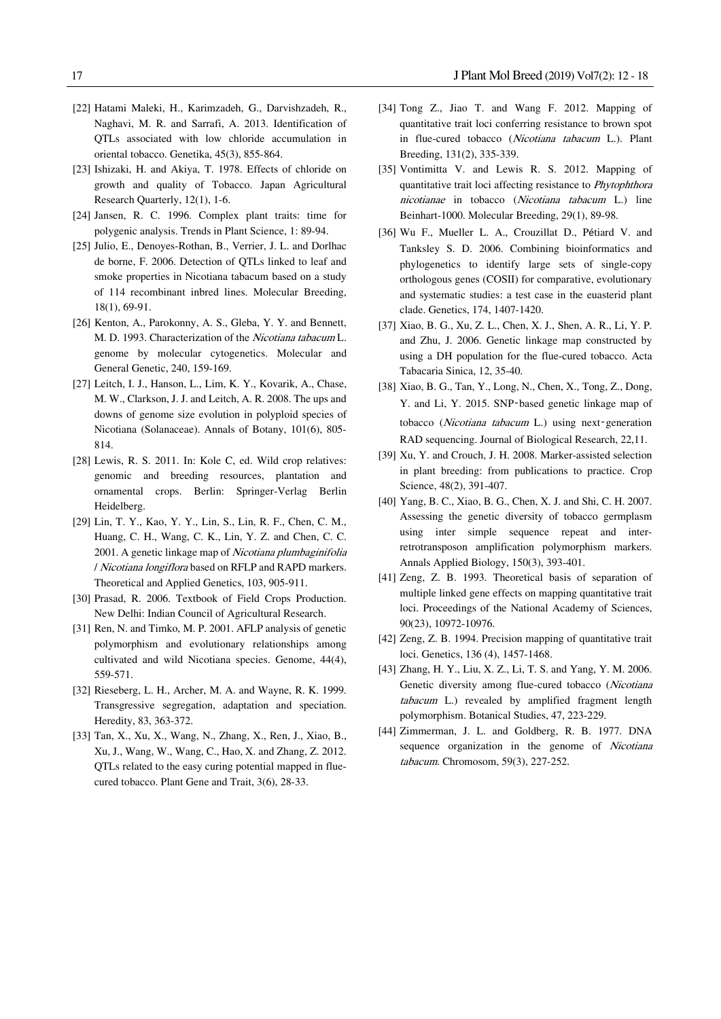- [22] Hatami Maleki, H., Karimzadeh, G., Darvishzadeh, R., Naghavi, M. R. and Sarrafi, A. 2013. Identification of QTLs associated with low chloride accumulation in oriental tobacco. Genetika, 45(3), 855-864.
- [23] Ishizaki, H. and Akiya, T. 1978. Effects of chloride on growth and quality of Tobacco. Japan Agricultural Research Quarterly, 12(1), 1-6.
- [24] Jansen, R. C. 1996. Complex plant traits: time for polygenic analysis. Trends in Plant Science, 1: 89-94.
- [25] Julio, E., Denoyes-Rothan, B., Verrier, J. L. and Dorlhac de borne, F. 2006. Detection of QTLs linked to leaf and smoke properties in Nicotiana tabacum based on a study of 114 recombinant inbred lines. Molecular Breeding, 18(1), 69-91.
- [26] Kenton, A., Parokonny, A. S., Gleba, Y. Y. and Bennett, M. D. 1993. Characterization of the Nicotiana tabacum L. genome by molecular cytogenetics. Molecular and General Genetic, 240, 159-169.
- [27] Leitch, I. J., Hanson, L., Lim, K. Y., Kovarik, A., Chase, M. W., Clarkson, J. J. and Leitch, A. R. 2008. The ups and downs of genome size evolution in polyploid species of Nicotiana (Solanaceae). Annals of Botany, 101(6), 805- 814.
- [28] Lewis, R. S. 2011. In: Kole C, ed. Wild crop relatives: genomic and breeding resources, plantation and ornamental crops. Berlin: Springer-Verlag Berlin Heidelberg.
- [29] Lin, T. Y., Kao, Y. Y., Lin, S., Lin, R. F., Chen, C. M., Huang, C. H., Wang, C. K., Lin, Y. Z. and Chen, C. C. 2001. A genetic linkage map of Nicotiana plumbaginifolia / Nicotiana longiflora based on RFLP and RAPD markers. Theoretical and Applied Genetics, 103, 905-911.
- [30] Prasad, R. 2006. Textbook of Field Crops Production. New Delhi: Indian Council of Agricultural Research.
- [31] Ren, N. and Timko, M. P. 2001. AFLP analysis of genetic polymorphism and evolutionary relationships among cultivated and wild Nicotiana species. Genome, 44(4), 559-571.
- [32] Rieseberg, L. H., Archer, M. A. and Wayne, R. K. 1999. Transgressive segregation, adaptation and speciation. Heredity, 83, 363-372.
- [33] Tan, X., Xu, X., Wang, N., Zhang, X., Ren, J., Xiao, B., Xu, J., Wang, W., Wang, C., Hao, X. and Zhang, Z. 2012. QTLs related to the easy curing potential mapped in fluecured tobacco. Plant Gene and Trait, 3(6), 28-33.
- [34] Tong Z., Jiao T. and Wang F. 2012. Mapping of quantitative trait loci conferring resistance to brown spot in flue-cured tobacco (Nicotiana tabacum L.). Plant Breeding, 131(2), 335-339.
- [35] Vontimitta V. and Lewis R. S. 2012. Mapping of quantitative trait loci affecting resistance to Phytophthora nicotianae in tobacco (Nicotiana tabacum L.) line Beinhart-1000. Molecular Breeding, 29(1), 89-98.
- [36] Wu F., Mueller L. A., Crouzillat D., Pétiard V. and Tanksley S. D. 2006. Combining bioinformatics and phylogenetics to identify large sets of single-copy orthologous genes (COSII) for comparative, evolutionary and systematic studies: a test case in the euasterid plant clade. Genetics, 174, 1407-1420.
- [37] Xiao, B. G., Xu, Z. L., Chen, X. J., Shen, A. R., Li, Y. P. and Zhu, J. 2006. Genetic linkage map constructed by using a DH population for the flue-cured tobacco. Acta Tabacaria Sinica, 12, 35-40.
- [38] Xiao, B. G., Tan, Y., Long, N., Chen, X., Tong, Z., Dong, Y. and Li, Y. 2015. SNP‑based genetic linkage map of tobacco (Nicotiana tabacum L.) using next-generation RAD sequencing. Journal of Biological Research, 22,11.
- [39] Xu, Y. and Crouch, J. H. 2008. Marker-assisted selection in plant breeding: from publications to practice. Crop Science, 48(2), 391-407.
- [40] Yang, B. C., Xiao, B. G., Chen, X. J. and Shi, C. H. 2007. Assessing the genetic diversity of tobacco germplasm using inter simple sequence repeat and interretrotransposon amplification polymorphism markers. Annals Applied Biology, 150(3), 393-401.
- [41] Zeng, Z. B. 1993. Theoretical basis of separation of multiple linked gene effects on mapping quantitative trait loci. Proceedings of the National Academy of Sciences, 90(23), 10972-10976.
- [42] Zeng, Z. B. 1994. Precision mapping of quantitative trait loci. Genetics, 136 (4), 1457-1468.
- [43] Zhang, H. Y., Liu, X. Z., Li, T. S. and Yang, Y. M. 2006. Genetic diversity among flue-cured tobacco (Nicotiana tabacum L.) revealed by amplified fragment length polymorphism. Botanical Studies, 47, 223-229.
- [44] Zimmerman, J. L. and Goldberg, R. B. 1977. DNA sequence organization in the genome of Nicotiana tabacum. Chromosom, 59(3), 227-252.